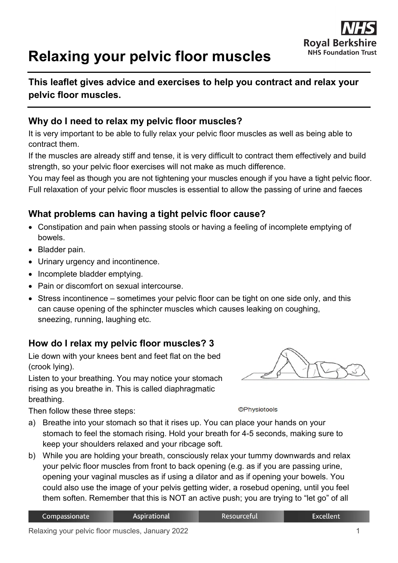# **Relaxing your pelvic floor muscles**



## **Why do I need to relax my pelvic floor muscles?**

It is very important to be able to fully relax your pelvic floor muscles as well as being able to contract them.

If the muscles are already stiff and tense, it is very difficult to contract them effectively and build strength, so your pelvic floor exercises will not make as much difference.

You may feel as though you are not tightening your muscles enough if you have a tight pelvic floor. Full relaxation of your pelvic floor muscles is essential to allow the passing of urine and faeces

## **What problems can having a tight pelvic floor cause?**

- Constipation and pain when passing stools or having a feeling of incomplete emptying of bowels.
- Bladder pain.
- Urinary urgency and incontinence.
- Incomplete bladder emptying.

**pelvic floor muscles.**

- Pain or discomfort on sexual intercourse.
- Stress incontinence sometimes your pelvic floor can be tight on one side only, and this can cause opening of the sphincter muscles which causes leaking on coughing, sneezing, running, laughing etc.

### **How do I relax my pelvic floor muscles? 3**

Lie down with your knees bent and feet flat on the bed (crook lying).

Listen to your breathing. You may notice your stomach rising as you breathe in. This is called diaphragmatic breathing.

Then follow these three steps:

**©Physiotools** 

- a) Breathe into your stomach so that it rises up. You can place your hands on your stomach to feel the stomach rising. Hold your breath for 4-5 seconds, making sure to keep your shoulders relaxed and your ribcage soft.
- b) While you are holding your breath, consciously relax your tummy downwards and relax your pelvic floor muscles from front to back opening (e.g. as if you are passing urine, opening your vaginal muscles as if using a dilator and as if opening your bowels. You could also use the image of your pelvis getting wider, a rosebud opening, until you feel them soften. Remember that this is NOT an active push; you are trying to "let go" of all

| Compassionate | Aspirational | . Resourceful' | <b>Excellent</b> |
|---------------|--------------|----------------|------------------|
|               |              |                |                  |

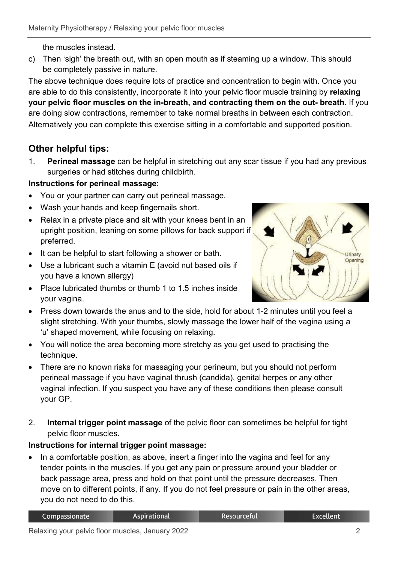the muscles instead.

c) Then 'sigh' the breath out, with an open mouth as if steaming up a window. This should be completely passive in nature.

The above technique does require lots of practice and concentration to begin with. Once you are able to do this consistently, incorporate it into your pelvic floor muscle training by **relaxing your pelvic floor muscles on the in-breath, and contracting them on the out- breath**. If you are doing slow contractions, remember to take normal breaths in between each contraction. Alternatively you can complete this exercise sitting in a comfortable and supported position.

# **Other helpful tips:**

1. **Perineal massage** can be helpful in stretching out any scar tissue if you had any previous surgeries or had stitches during childbirth.

## **Instructions for perineal massage:**

- You or your partner can carry out perineal massage.
- Wash your hands and keep fingernails short.
- Relax in a private place and sit with your knees bent in an upright position, leaning on some pillows for back support if preferred.
- It can be helpful to start following a shower or bath.
- Use a lubricant such a vitamin E (avoid nut based oils if you have a known allergy)
- Place lubricated thumbs or thumb 1 to 1.5 inches inside your vagina.



- Press down towards the anus and to the side, hold for about 1-2 minutes until you feel a slight stretching. With your thumbs, slowly massage the lower half of the vagina using a 'u' shaped movement, while focusing on relaxing.
- You will notice the area becoming more stretchy as you get used to practising the technique.
- There are no known risks for massaging your perineum, but you should not perform perineal massage if you have vaginal thrush (candida), genital herpes or any other vaginal infection. If you suspect you have any of these conditions then please consult your GP.
- 2. **Internal trigger point massage** of the pelvic floor can sometimes be helpful for tight pelvic floor muscles.

### **Instructions for internal trigger point massage:**

• In a comfortable position, as above, insert a finger into the vagina and feel for any tender points in the muscles. If you get any pain or pressure around your bladder or back passage area, press and hold on that point until the pressure decreases. Then move on to different points, if any. If you do not feel pressure or pain in the other areas, you do not need to do this.

Resourceful

**Excellent**